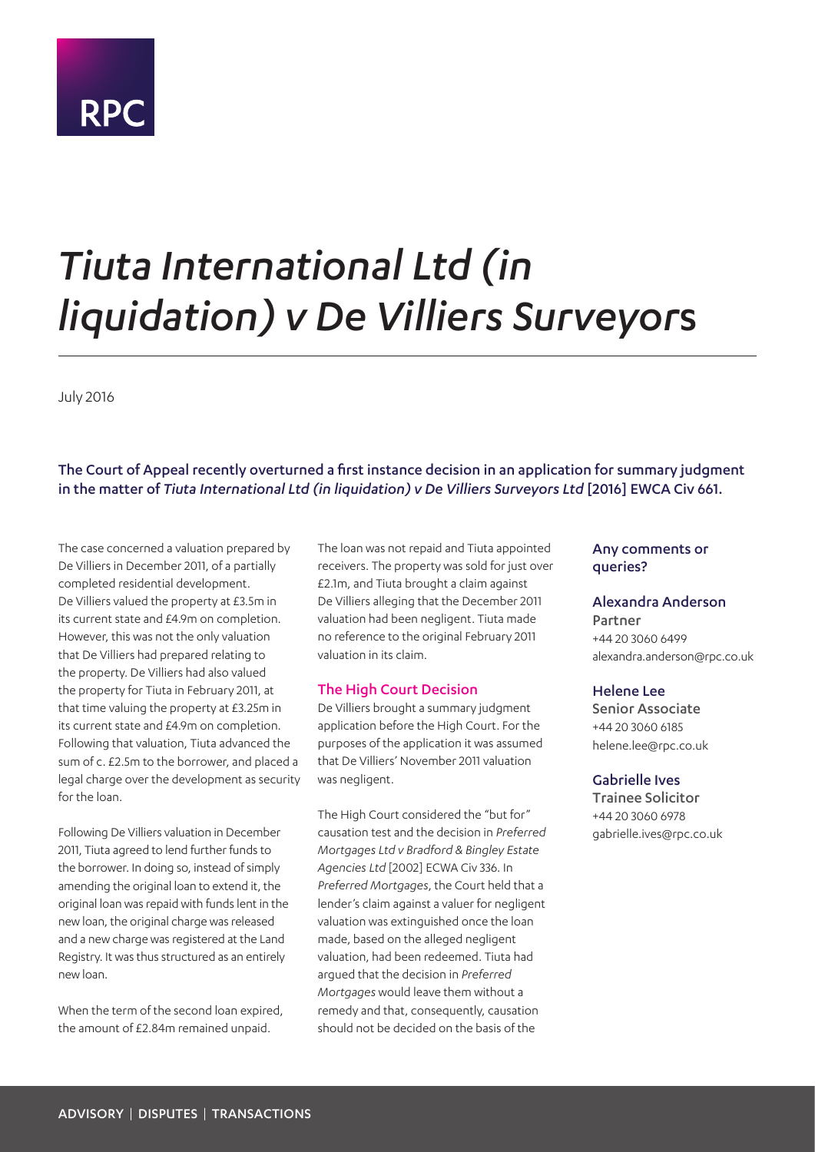# **RPC**

## *Tiuta International Ltd (in liquidation) v De Villiers Surveyor*s

July 2016

The Court of Appeal recently overturned a first instance decision in an application for summary judgment in the matter of *Tiuta International Ltd (in liquidation) v De Villiers Surveyors Ltd* [2016] EWCA Civ 661.

The case concerned a valuation prepared by De Villiers in December 2011, of a partially completed residential development. De Villiers valued the property at £3.5m in its current state and £4.9m on completion. However, this was not the only valuation that De Villiers had prepared relating to the property. De Villiers had also valued the property for Tiuta in February 2011, at that time valuing the property at £3.25m in its current state and £4.9m on completion. Following that valuation, Tiuta advanced the sum of c. £2.5m to the borrower, and placed a legal charge over the development as security for the loan.

Following De Villiers valuation in December 2011, Tiuta agreed to lend further funds to the borrower. In doing so, instead of simply amending the original loan to extend it, the original loan was repaid with funds lent in the new loan, the original charge was released and a new charge was registered at the Land Registry. It was thus structured as an entirely new loan.

When the term of the second loan expired, the amount of £2.84m remained unpaid.

The loan was not repaid and Tiuta appointed receivers. The property was sold for just over £2.1m, and Tiuta brought a claim against De Villiers alleging that the December 2011 valuation had been negligent. Tiuta made no reference to the original February 2011 valuation in its claim.

#### The High Court Decision

De Villiers brought a summary judgment application before the High Court. For the purposes of the application it was assumed that De Villiers' November 2011 valuation was negligent.

The High Court considered the "but for" causation test and the decision in *Preferred Mortgages Ltd v Bradford & Bingley Estate Agencies Ltd* [2002] ECWA Civ 336. In *Preferred Mortgages*, the Court held that a lender's claim against a valuer for negligent valuation was extinguished once the loan made, based on the alleged negligent valuation, had been redeemed. Tiuta had argued that the decision in *Preferred Mortgages* would leave them without a remedy and that, consequently, causation should not be decided on the basis of the

#### Any comments or queries?

#### Alexandra Anderson

Partner +44 20 3060 6499 alexandra.anderson@rpc.co.uk

#### Helene Lee

Senior Associate +44 20 3060 6185 helene.lee@rpc.co.uk

#### Gabrielle Ives

Trainee Solicitor +44 20 3060 6978 gabrielle.ives@rpc.co.uk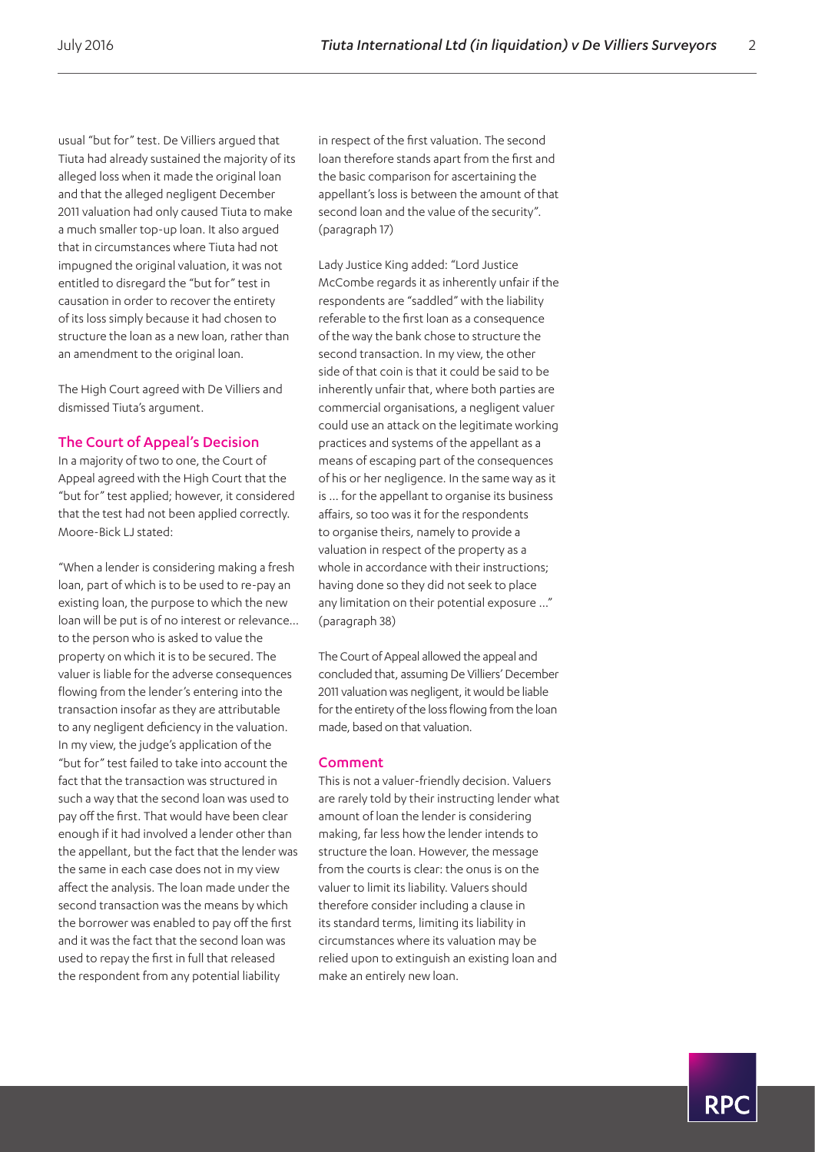usual "but for" test. De Villiers argued that Tiuta had already sustained the majority of its alleged loss when it made the original loan and that the alleged negligent December 2011 valuation had only caused Tiuta to make a much smaller top-up loan. It also argued that in circumstances where Tiuta had not impugned the original valuation, it was not entitled to disregard the "but for" test in causation in order to recover the entirety of its loss simply because it had chosen to structure the loan as a new loan, rather than an amendment to the original loan.

The High Court agreed with De Villiers and dismissed Tiuta's argument.

#### The Court of Appeal's Decision

In a majority of two to one, the Court of Appeal agreed with the High Court that the "but for" test applied; however, it considered that the test had not been applied correctly. Moore-Bick LJ stated:

"When a lender is considering making a fresh loan, part of which is to be used to re-pay an existing loan, the purpose to which the new loan will be put is of no interest or relevance… to the person who is asked to value the property on which it is to be secured. The valuer is liable for the adverse consequences flowing from the lender's entering into the transaction insofar as they are attributable to any negligent deficiency in the valuation. In my view, the judge's application of the "but for" test failed to take into account the fact that the transaction was structured in such a way that the second loan was used to pay off the first. That would have been clear enough if it had involved a lender other than the appellant, but the fact that the lender was the same in each case does not in my view affect the analysis. The loan made under the second transaction was the means by which the borrower was enabled to pay off the first and it was the fact that the second loan was used to repay the first in full that released the respondent from any potential liability

in respect of the first valuation. The second loan therefore stands apart from the first and the basic comparison for ascertaining the appellant's loss is between the amount of that second loan and the value of the security". (paragraph 17)

Lady Justice King added: "Lord Justice McCombe regards it as inherently unfair if the respondents are "saddled" with the liability referable to the first loan as a consequence of the way the bank chose to structure the second transaction. In my view, the other side of that coin is that it could be said to be inherently unfair that, where both parties are commercial organisations, a negligent valuer could use an attack on the legitimate working practices and systems of the appellant as a means of escaping part of the consequences of his or her negligence. In the same way as it is … for the appellant to organise its business affairs, so too was it for the respondents to organise theirs, namely to provide a valuation in respect of the property as a whole in accordance with their instructions; having done so they did not seek to place any limitation on their potential exposure …" (paragraph 38)

The Court of Appeal allowed the appeal and concluded that, assuming De Villiers' December 2011 valuation was negligent, it would be liable for the entirety of the loss flowing from the loan made, based on that valuation.

#### Comment

This is not a valuer-friendly decision. Valuers are rarely told by their instructing lender what amount of loan the lender is considering making, far less how the lender intends to structure the loan. However, the message from the courts is clear: the onus is on the valuer to limit its liability. Valuers should therefore consider including a clause in its standard terms, limiting its liability in circumstances where its valuation may be relied upon to extinguish an existing loan and make an entirely new loan.